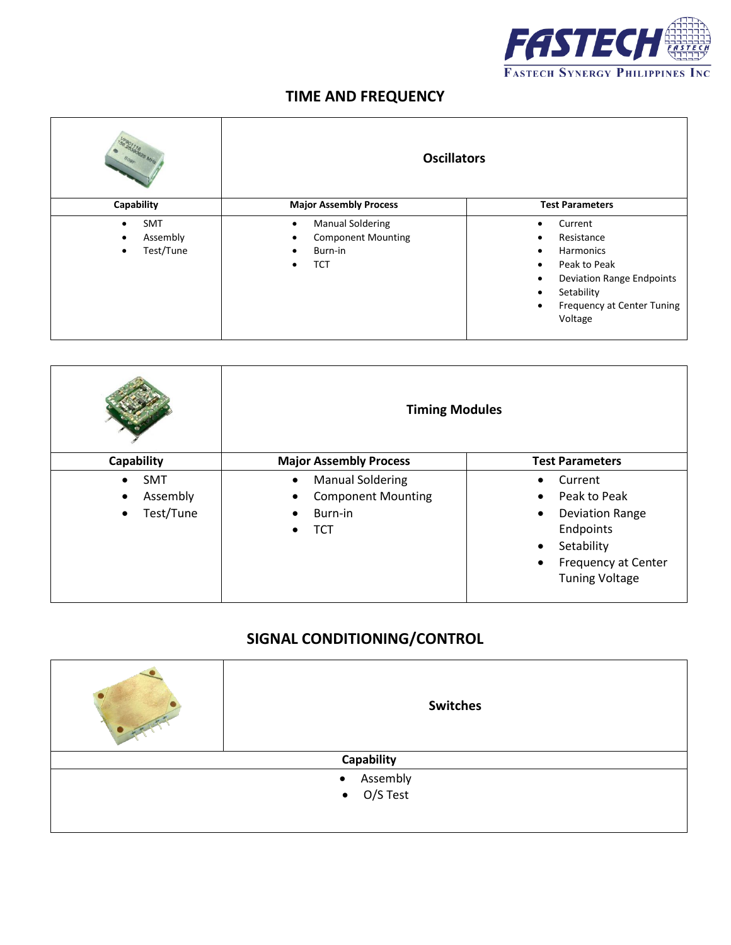

## **TIME AND FREQUENCY**

| 28390826 MHz                                     | <b>Oscillators</b>                                                                                            |                                                                                                                                                                                                                                 |
|--------------------------------------------------|---------------------------------------------------------------------------------------------------------------|---------------------------------------------------------------------------------------------------------------------------------------------------------------------------------------------------------------------------------|
| Capability                                       | <b>Major Assembly Process</b>                                                                                 | <b>Test Parameters</b>                                                                                                                                                                                                          |
| <b>SMT</b><br>$\bullet$<br>Assembly<br>Test/Tune | <b>Manual Soldering</b><br>$\bullet$<br><b>Component Mounting</b><br>Burn-in<br>$\bullet$<br>TCT<br>$\bullet$ | Current<br>$\bullet$<br>Resistance<br>$\bullet$<br>Harmonics<br>$\bullet$<br>Peak to Peak<br>$\bullet$<br><b>Deviation Range Endpoints</b><br>٠<br>Setability<br>٠<br><b>Frequency at Center Tuning</b><br>$\bullet$<br>Voltage |

|                                                                            | <b>Timing Modules</b>                                                                      |                                                                                                                                                                                               |
|----------------------------------------------------------------------------|--------------------------------------------------------------------------------------------|-----------------------------------------------------------------------------------------------------------------------------------------------------------------------------------------------|
| Capability                                                                 | <b>Major Assembly Process</b>                                                              | <b>Test Parameters</b>                                                                                                                                                                        |
| <b>SMT</b><br>$\bullet$<br>Assembly<br>$\bullet$<br>Test/Tune<br>$\bullet$ | <b>Manual Soldering</b><br>$\bullet$<br><b>Component Mounting</b><br>Burn-in<br><b>TCT</b> | Current<br>$\bullet$<br>Peak to Peak<br>$\bullet$<br><b>Deviation Range</b><br>$\bullet$<br>Endpoints<br>Setability<br>$\bullet$<br>Frequency at Center<br>$\bullet$<br><b>Tuning Voltage</b> |

## **SIGNAL CONDITIONING/CONTROL**

| <b>Switches</b>       |  |
|-----------------------|--|
| Capability            |  |
| • Assembly            |  |
| O/S Test<br>$\bullet$ |  |
|                       |  |
|                       |  |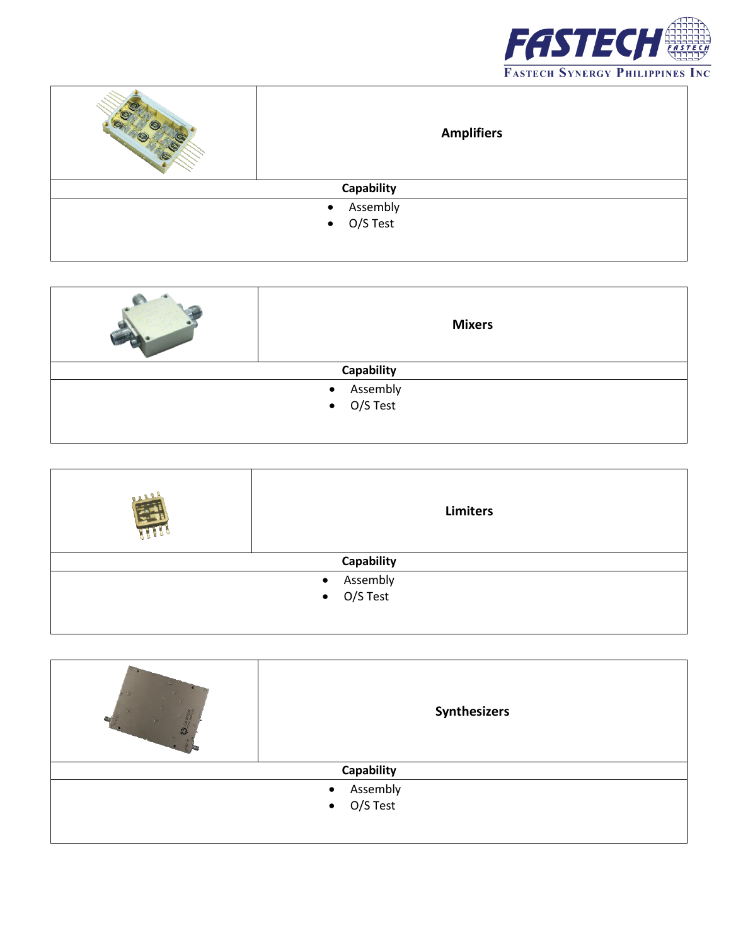

|                       | <b>Amplifiers</b>  |
|-----------------------|--------------------|
| Capability            |                    |
| Assembly<br>$\bullet$ |                    |
|                       | $\bullet$ O/S Test |
|                       |                    |

| <b>Mixers</b>            |
|--------------------------|
| Capability               |
| • Assembly<br>• O/S Test |
|                          |
|                          |
|                          |

| <b>Limiters</b>          |
|--------------------------|
| Capability               |
|                          |
| • Assembly<br>• O/S Test |
|                          |

| Synthesizers             |  |
|--------------------------|--|
| Capability               |  |
| • Assembly<br>• O/S Test |  |
|                          |  |
|                          |  |
|                          |  |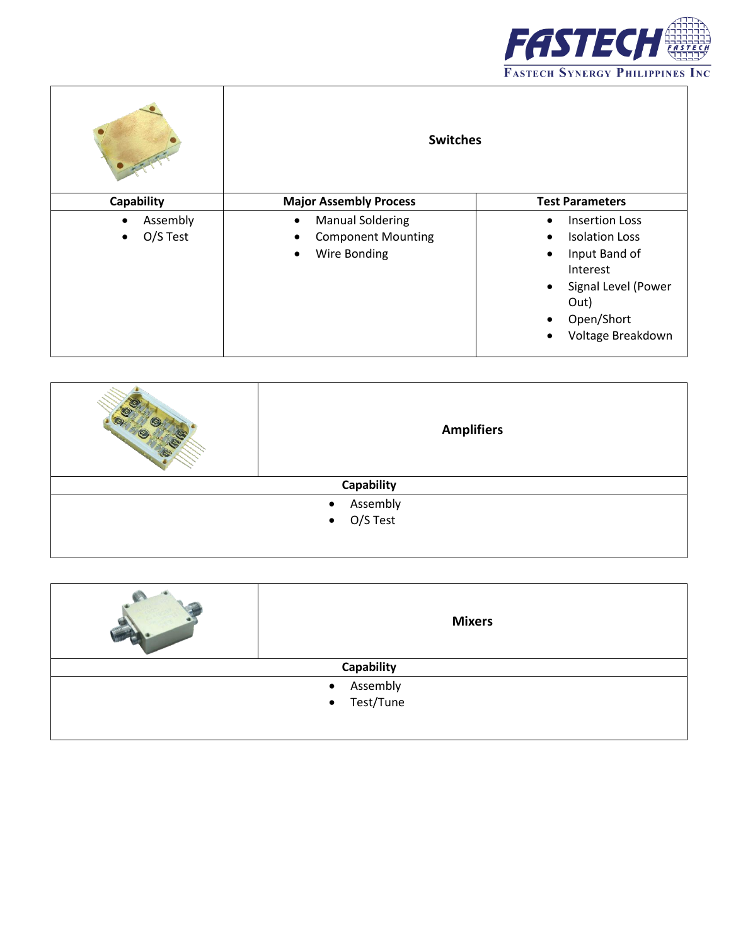

|                                                | <b>Switches</b>                                                                                |                                                                                                                                                                                                             |
|------------------------------------------------|------------------------------------------------------------------------------------------------|-------------------------------------------------------------------------------------------------------------------------------------------------------------------------------------------------------------|
| Capability                                     | <b>Major Assembly Process</b>                                                                  | <b>Test Parameters</b>                                                                                                                                                                                      |
| Assembly<br>$\bullet$<br>O/S Test<br>$\bullet$ | <b>Manual Soldering</b><br>$\bullet$<br><b>Component Mounting</b><br>Wire Bonding<br>$\bullet$ | <b>Insertion Loss</b><br>$\bullet$<br><b>Isolation Loss</b><br>٠<br>Input Band of<br>٠<br>Interest<br>Signal Level (Power<br>$\bullet$<br>Out)<br>Open/Short<br>$\bullet$<br>Voltage Breakdown<br>$\bullet$ |

|            | <b>Amplifiers</b>        |
|------------|--------------------------|
| Capability |                          |
|            | • Assembly<br>• O/S Test |
|            |                          |
|            |                          |
|            |                          |

|             | <b>Mixers</b>         |
|-------------|-----------------------|
|             | Capability            |
|             | Assembly<br>$\bullet$ |
| • Test/Tune |                       |
|             |                       |
|             |                       |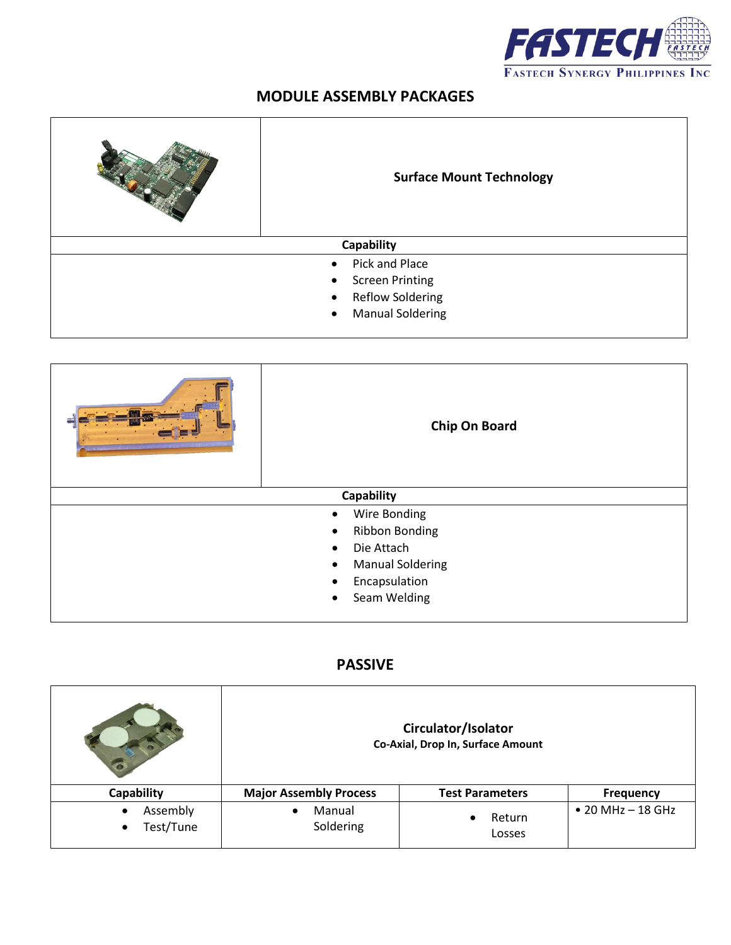

## **MODULE ASSEMBLY PACKAGES**

|                                      | <b>Surface Mount Technology</b> |
|--------------------------------------|---------------------------------|
|                                      | <b>Capability</b>               |
|                                      | Pick and Place<br>$\bullet$     |
| <b>Screen Printing</b><br>$\bullet$  |                                 |
| <b>Reflow Soldering</b><br>$\bullet$ |                                 |
| <b>Manual Soldering</b><br>$\bullet$ |                                 |
|                                      |                                 |

| Chip On Board                        |
|--------------------------------------|
| <b>Capability</b>                    |
| Wire Bonding<br>$\bullet$            |
| <b>Ribbon Bonding</b><br>$\bullet$   |
| Die Attach<br>$\bullet$              |
| <b>Manual Soldering</b><br>$\bullet$ |
| Encapsulation<br>$\bullet$           |
| Seam Welding<br>$\bullet$            |
|                                      |

## **PASSIVE**

|                                                 | Circulator/Isolator<br>Co-Axial, Drop In, Surface Amount |                               |                           |
|-------------------------------------------------|----------------------------------------------------------|-------------------------------|---------------------------|
| Capability                                      | <b>Major Assembly Process</b>                            | <b>Test Parameters</b>        | <b>Frequency</b>          |
| Assembly<br>$\bullet$<br>Test/Tune<br>$\bullet$ | Manual<br>$\bullet$<br>Soldering                         | Return<br>$\bullet$<br>Losses | $\bullet$ 20 MHz - 18 GHz |